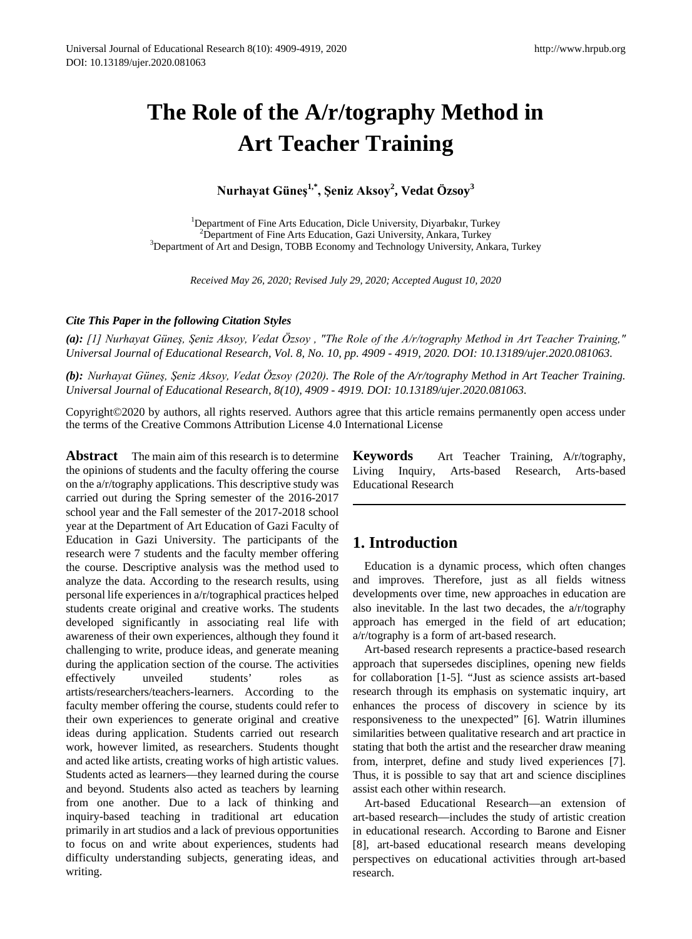# **The Role of the A/r/tography Method in Art Teacher Training**

**Nurhayat Güneş1,\*, Şeniz Aksoy<sup>2</sup> , Vedat Özsoy<sup>3</sup>**

<sup>1</sup>Department of Fine Arts Education, Dicle University, Diyarbakır, Turkey<br><sup>2</sup>Department of Fine Arts Education, Gazi University, Ankara, Turkey <sup>2</sup> Department of Fine Arts Education, Gazi University, Ankara, Turkey<br><sup>3</sup> Department of Art and Design, TOBB Economy and Technology University, Ankara, Turkey

*Received May 26, 2020; Revised July 29, 2020; Accepted August 10, 2020*

#### *Cite This Paper in the following Citation Styles*

*(a): [1] Nurhayat Güneş, Şeniz Aksoy, Vedat Özsoy , "The Role of the A/r/tography Method in Art Teacher Training," Universal Journal of Educational Research, Vol. 8, No. 10, pp. 4909 - 4919, 2020. DOI: 10.13189/ujer.2020.081063.* 

*(b): Nurhayat Güneş, Şeniz Aksoy, Vedat Özsoy (2020). The Role of the A/r/tography Method in Art Teacher Training. Universal Journal of Educational Research, 8(10), 4909 - 4919. DOI: 10.13189/ujer.2020.081063.* 

Copyright©2020 by authors, all rights reserved. Authors agree that this article remains permanently open access under the terms of the Creative Commons Attribution License 4.0 International License

**Abstract** The main aim of this research is to determine the opinions of students and the faculty offering the course on the a/r/tography applications. This descriptive study was carried out during the Spring semester of the 2016-2017 school year and the Fall semester of the 2017-2018 school year at the Department of Art Education of Gazi Faculty of Education in Gazi University. The participants of the research were 7 students and the faculty member offering the course. Descriptive analysis was the method used to analyze the data. According to the research results, using personal life experiences in a/r/tographical practices helped students create original and creative works. The students developed significantly in associating real life with awareness of their own experiences, although they found it challenging to write, produce ideas, and generate meaning during the application section of the course. The activities effectively unveiled students' roles as artists/researchers/teachers-learners. According to the faculty member offering the course, students could refer to their own experiences to generate original and creative ideas during application. Students carried out research work, however limited, as researchers. Students thought and acted like artists, creating works of high artistic values. Students acted as learners—they learned during the course and beyond. Students also acted as teachers by learning from one another. Due to a lack of thinking and inquiry-based teaching in traditional art education primarily in art studios and a lack of previous opportunities to focus on and write about experiences, students had difficulty understanding subjects, generating ideas, and writing.

**Keywords** Art Teacher Training, A/r/tography, Living Inquiry, Arts-based Research, Arts-based Living Inquiry, Arts-based Research, Educational Research

## **1. Introduction**

Education is a dynamic process, which often changes and improves. Therefore, just as all fields witness developments over time, new approaches in education are also inevitable. In the last two decades, the a/r/tography approach has emerged in the field of art education; a/r/tography is a form of art-based research.

Art-based research represents a practice-based research approach that supersedes disciplines, opening new fields for collaboration [1-5]. "Just as science assists art-based research through its emphasis on systematic inquiry, art enhances the process of discovery in science by its responsiveness to the unexpected" [6]. Watrin illumines similarities between qualitative research and art practice in stating that both the artist and the researcher draw meaning from, interpret, define and study lived experiences [7]. Thus, it is possible to say that art and science disciplines assist each other within research.

Art-based Educational Research—an extension of art-based research—includes the study of artistic creation in educational research. According to Barone and Eisner [8], art-based educational research means developing perspectives on educational activities through art-based research.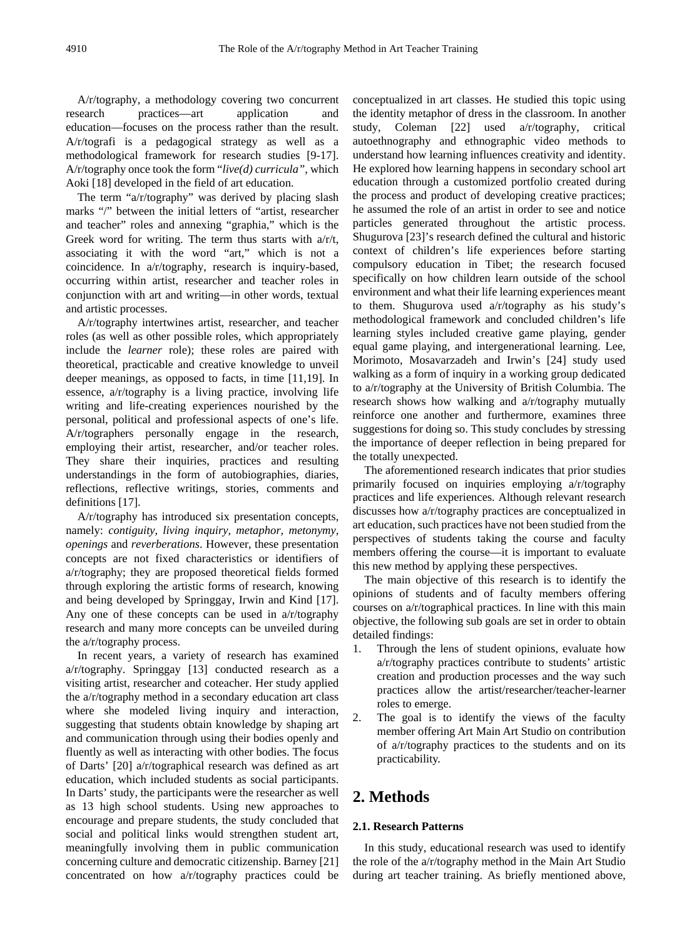A/r/tography, a methodology covering two concurrent<br>search practices—art application and research practices—art application and education—focuses on the process rather than the result. A/r/tografi is a pedagogical strategy as well as a methodological framework for research studies [9-17]. A/r/tography once took the form "*live(d) curricula"*, which Aoki [18] developed in the field of art education.

The term "a/r/tography" was derived by placing slash marks "/" between the initial letters of "artist, researcher and teacher" roles and annexing "graphia," which is the Greek word for writing. The term thus starts with  $a/r/t$ , associating it with the word "art," which is not a coincidence. In a/r/tography, research is inquiry-based, occurring within artist, researcher and teacher roles in conjunction with art and writing—in other words, textual and artistic processes.

A/r/tography intertwines artist, researcher, and teacher roles (as well as other possible roles, which appropriately include the *learner* role); these roles are paired with theoretical, practicable and creative knowledge to unveil deeper meanings, as opposed to facts, in time [11,19]. In essence, a/r/tography is a living practice, involving life writing and life-creating experiences nourished by the personal, political and professional aspects of one's life. A/r/tographers personally engage in the research, employing their artist, researcher, and/or teacher roles. They share their inquiries, practices and resulting understandings in the form of autobiographies, diaries, reflections, reflective writings, stories, comments and definitions [17].

A/r/tography has introduced six presentation concepts, namely: *contiguity, living inquiry, metaphor, metonymy, openings* and *reverberations*. However, these presentation concepts are not fixed characteristics or identifiers of a/r/tography; they are proposed theoretical fields formed through exploring the artistic forms of research, knowing and being developed by Springgay, Irwin and Kind [17]. Any one of these concepts can be used in a/r/tography research and many more concepts can be unveiled during the a/r/tography process.

In recent years, a variety of research has examined a/r/tography. Springgay [13] conducted research as a visiting artist, researcher and coteacher. Her study applied the a/r/tography method in a secondary education art class where she modeled living inquiry and interaction, suggesting that students obtain knowledge by shaping art and communication through using their bodies openly and fluently as well as interacting with other bodies. The focus of Darts' [20] a/r/tographical research was defined as art education, which included students as social participants. In Darts' study, the participants were the researcher as well as 13 high school students. Using new approaches to encourage and prepare students, the study concluded that social and political links would strengthen student art, meaningfully involving them in public communication concerning culture and democratic citizenship. Barney [21] concentrated on how a/r/tography practices could be

conceptualized in art classes. He studied this topic using the identity metaphor of dress in the classroom. In another study, Coleman [22] used a/r/tography, critical autoethnography and ethnographic video methods to understand how learning influences creativity and identity. He explored how learning happens in secondary school art education through a customized portfolio created during the process and product of developing creative practices; he assumed the role of an artist in order to see and notice particles generated throughout the artistic process. Shugurova [23]'s research defined the cultural and historic context of children's life experiences before starting compulsory education in Tibet; the research focused specifically on how children learn outside of the school environment and what their life learning experiences meant to them. Shugurova used a/r/tography as his study's methodological framework and concluded children's life learning styles included creative game playing, gender equal game playing, and intergenerational learning. Lee, Morimoto, Mosavarzadeh and Irwin's [24] study used walking as a form of inquiry in a working group dedicated to a/r/tography at the University of British Columbia. The research shows how walking and a/r/tography mutually reinforce one another and furthermore, examines three suggestions for doing so. This study concludes by stressing the importance of deeper reflection in being prepared for the totally unexpected.

The aforementioned research indicates that prior studies primarily focused on inquiries employing a/r/tography practices and life experiences. Although relevant research discusses how a/r/tography practices are conceptualized in art education, such practices have not been studied from the perspectives of students taking the course and faculty members offering the course—it is important to evaluate this new method by applying these perspectives.

The main objective of this research is to identify the opinions of students and of faculty members offering courses on a/r/tographical practices. In line with this main objective, the following sub goals are set in order to obtain detailed findings:

- 1. Through the lens of student opinions, evaluate how a/r/tography practices contribute to students' artistic creation and production processes and the way such practices allow the artist/researcher/teacher-learner roles to emerge.
- 2. The goal is to identify the views of the faculty member offering Art Main Art Studio on contribution of a/r/tography practices to the students and on its practicability.

## **2. Methods**

### **2.1. Research Patterns**

In this study, educational research was used to identify the role of the a/r/tography method in the Main Art Studio during art teacher training. As briefly mentioned above,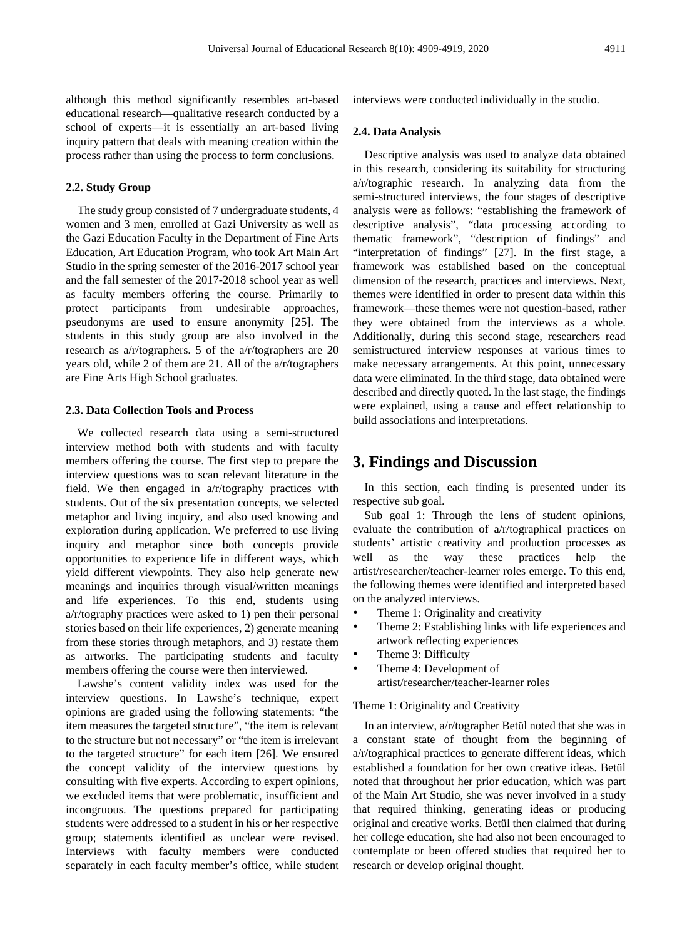although this method significantly resembles art-based educational research—qualitative research conducted by a school of experts—it is essentially an art-based living inquiry pattern that deals with meaning creation within the process rather than using the process to form conclusions.

#### **2.2. Study Group**

The study group consisted of 7 undergraduate students, 4 women and 3 men, enrolled at Gazi University as well as the Gazi Education Faculty in the Department of Fine Arts Education, Art Education Program, who took Art Main Art Studio in the spring semester of the 2016-2017 school year and the fall semester of the 2017-2018 school year as well as faculty members offering the course. Primarily to protect participants from undesirable approaches, pseudonyms are used to ensure anonymity [25]. The students in this study group are also involved in the research as a/r/tographers. 5 of the a/r/tographers are 20 years old, while 2 of them are 21. All of the a/r/tographers are Fine Arts High School graduates.

#### **2.3. Data Collection Tools and Process**

We collected research data using a semi-structured interview method both with students and with faculty members offering the course. The first step to prepare the interview questions was to scan relevant literature in the field. We then engaged in a/r/tography practices with students. Out of the six presentation concepts, we selected metaphor and living inquiry, and also used knowing and exploration during application. We preferred to use living inquiry and metaphor since both concepts provide opportunities to experience life in different ways, which yield different viewpoints. They also help generate new meanings and inquiries through visual/written meanings and life experiences. To this end, students using a/r/tography practices were asked to 1) pen their personal stories based on their life experiences, 2) generate meaning from these stories through metaphors, and 3) restate them as artworks. The participating students and faculty members offering the course were then interviewed.

Lawshe's content validity index was used for the interview questions. In Lawshe's technique, expert opinions are graded using the following statements: "the item measures the targeted structure", "the item is relevant to the structure but not necessary" or "the item is irrelevant to the targeted structure" for each item [26]. We ensured the concept validity of the interview questions by consulting with five experts. According to expert opinions, we excluded items that were problematic, insufficient and incongruous. The questions prepared for participating students were addressed to a student in his or her respective group; statements identified as unclear were revised. Interviews with faculty members were conducted separately in each faculty member's office, while student interviews were conducted individually in the studio.

#### **2.4. Data Analysis**

Descriptive analysis was used to analyze data obtained in this research, considering its suitability for structuring a/r/tographic research. In analyzing data from the semi-structured interviews, the four stages of descriptive analysis were as follows: "establishing the framework of descriptive analysis", "data processing according to thematic framework", "description of findings" and "interpretation of findings" [27]. In the first stage, a framework was established based on the conceptual dimension of the research, practices and interviews. Next, themes were identified in order to present data within this framework—these themes were not question-based, rather they were obtained from the interviews as a whole. Additionally, during this second stage, researchers read semistructured interview responses at various times to make necessary arrangements. At this point, unnecessary data were eliminated. In the third stage, data obtained were described and directly quoted. In the last stage, the findings were explained, using a cause and effect relationship to build associations and interpretations.

## **3. Findings and Discussion**

In this section, each finding is presented under its respective sub goal.

Sub goal 1: Through the lens of student opinions, evaluate the contribution of a/r/tographical practices on students' artistic creativity and production processes as well as the way these practices help the artist/researcher/teacher-learner roles emerge. To this end, the following themes were identified and interpreted based on the analyzed interviews.

- Theme 1: Originality and creativity
- Theme 2: Establishing links with life experiences and artwork reflecting experiences
- Theme 3: Difficulty
- Theme 4: Development of artist/researcher/teacher-learner roles

#### Theme 1: Originality and Creativity

In an interview, a/r/tographer Betül noted that she was in a constant state of thought from the beginning of a/r/tographical practices to generate different ideas, which established a foundation for her own creative ideas. Betül noted that throughout her prior education, which was part of the Main Art Studio, she was never involved in a study that required thinking, generating ideas or producing original and creative works. Betül then claimed that during her college education, she had also not been encouraged to contemplate or been offered studies that required her to research or develop original thought.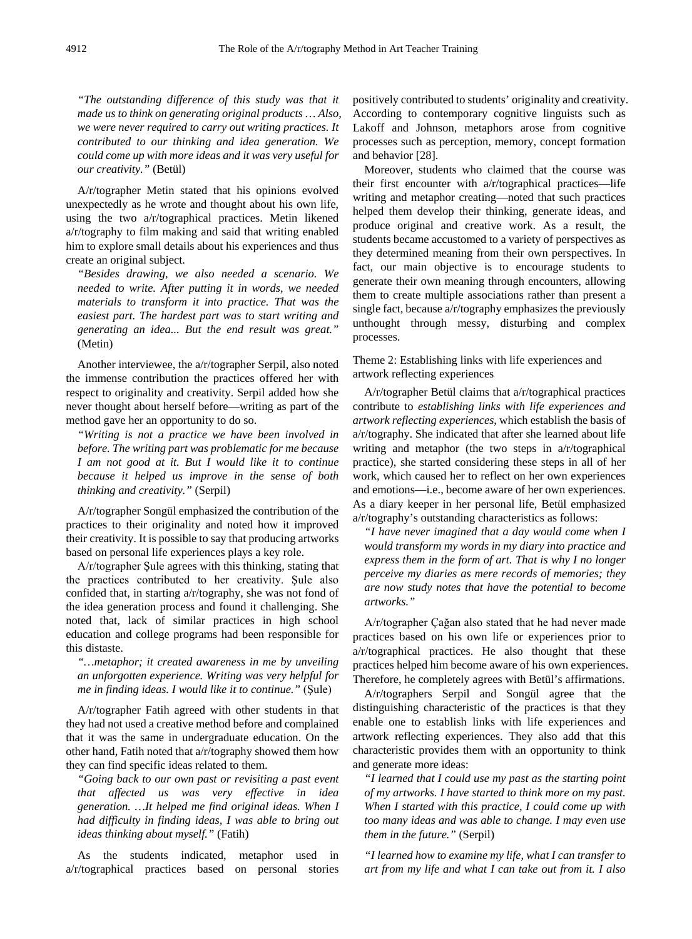*"The outstanding difference of this study was that it made us to think on generating original products … Also, we were never required to carry out writing practices. It contributed to our thinking and idea generation. We could come up with more ideas and it was very useful for our creativity."* (Betül)

A/r/tographer Metin stated that his opinions evolved unexpectedly as he wrote and thought about his own life, using the two a/r/tographical practices. Metin likened a/r/tography to film making and said that writing enabled him to explore small details about his experiences and thus create an original subject.

*"Besides drawing, we also needed a scenario. We needed to write. After putting it in words, we needed materials to transform it into practice. That was the easiest part. The hardest part was to start writing and generating an idea... But the end result was great."*  (Metin)

Another interviewee, the a/r/tographer Serpil, also noted the immense contribution the practices offered her with respect to originality and creativity. Serpil added how she never thought about herself before—writing as part of the method gave her an opportunity to do so.

*"Writing is not a practice we have been involved in before. The writing part was problematic for me because I am not good at it. But I would like it to continue because it helped us improve in the sense of both thinking and creativity."* (Serpil)

A/r/tographer Songül emphasized the contribution of the practices to their originality and noted how it improved their creativity. It is possible to say that producing artworks based on personal life experiences plays a key role.

A/r/tographer Şule agrees with this thinking, stating that the practices contributed to her creativity. Şule also confided that, in starting a/r/tography, she was not fond of the idea generation process and found it challenging. She noted that, lack of similar practices in high school education and college programs had been responsible for this distaste.

*"…metaphor; it created awareness in me by unveiling an unforgotten experience. Writing was very helpful for me in finding ideas. I would like it to continue."* (Şule)

A/r/tographer Fatih agreed with other students in that they had not used a creative method before and complained that it was the same in undergraduate education. On the other hand, Fatih noted that a/r/tography showed them how they can find specific ideas related to them.

*"Going back to our own past or revisiting a past event that affected us was very effective in idea generation. …It helped me find original ideas. When I had difficulty in finding ideas, I was able to bring out ideas thinking about myself."* (Fatih)

As the students indicated, metaphor used in a/r/tographical practices based on personal stories

positively contributed to students' originality and creativity. According to contemporary cognitive linguists such as Lakoff and Johnson, metaphors arose from cognitive processes such as perception, memory, concept formation and behavior [28].

Moreover, students who claimed that the course was their first encounter with a/r/tographical practices—life writing and metaphor creating—noted that such practices helped them develop their thinking, generate ideas, and produce original and creative work. As a result, the students became accustomed to a variety of perspectives as they determined meaning from their own perspectives. In fact, our main objective is to encourage students to generate their own meaning through encounters, allowing them to create multiple associations rather than present a single fact, because a/r/tography emphasizes the previously unthought through messy, disturbing and complex processes.

Theme 2: Establishing links with life experiences and artwork reflecting experiences

A/r/tographer Betül claims that a/r/tographical practices contribute to *establishing links with life experiences and artwork reflecting experiences*, which establish the basis of a/r/tography. She indicated that after she learned about life writing and metaphor (the two steps in a/r/tographical practice), she started considering these steps in all of her work, which caused her to reflect on her own experiences and emotions—i.e., become aware of her own experiences. As a diary keeper in her personal life, Betül emphasized a/r/tography's outstanding characteristics as follows:

*"I have never imagined that a day would come when I would transform my words in my diary into practice and express them in the form of art. That is why I no longer perceive my diaries as mere records of memories; they are now study notes that have the potential to become artworks."* 

A/r/tographer Çağan also stated that he had never made practices based on his own life or experiences prior to a/r/tographical practices. He also thought that these practices helped him become aware of his own experiences. Therefore, he completely agrees with Betül's affirmations.

A/r/tographers Serpil and Songül agree that the distinguishing characteristic of the practices is that they enable one to establish links with life experiences and artwork reflecting experiences. They also add that this characteristic provides them with an opportunity to think and generate more ideas:

*"I learned that I could use my past as the starting point of my artworks. I have started to think more on my past. When I started with this practice, I could come up with too many ideas and was able to change. I may even use them in the future."* (Serpil)

*"I learned how to examine my life, what I can transfer to art from my life and what I can take out from it. I also*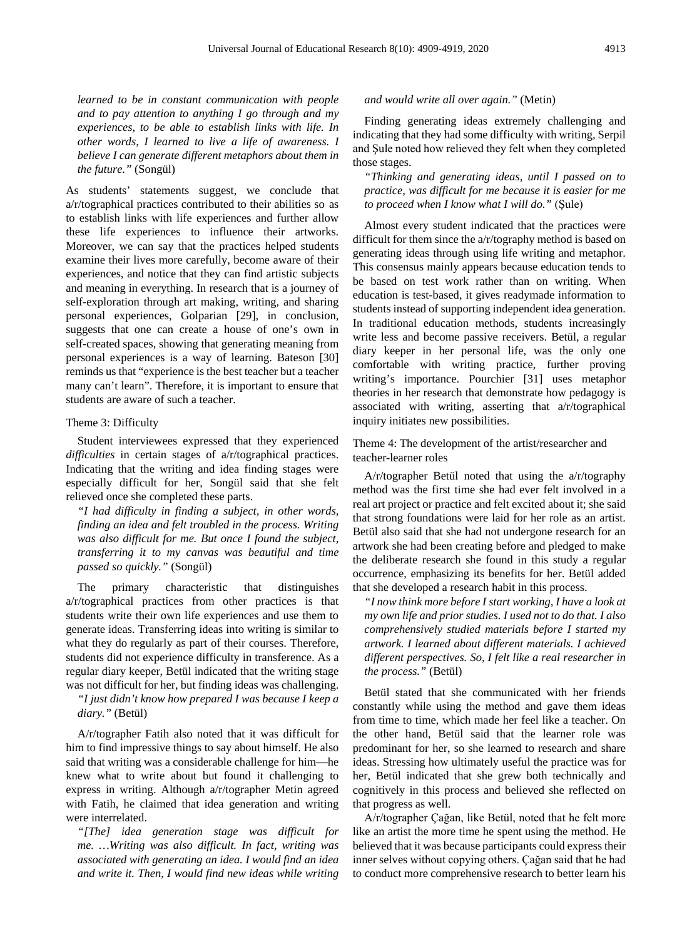*learned to be in constant communication with people and to pay attention to anything I go through and my experiences, to be able to establish links with life. In other words, I learned to live a life of awareness. I believe I can generate different metaphors about them in the future."* (Songül)

As students' statements suggest, we conclude that a/r/tographical practices contributed to their abilities so as to establish links with life experiences and further allow these life experiences to influence their artworks. Moreover, we can say that the practices helped students examine their lives more carefully, become aware of their experiences, and notice that they can find artistic subjects and meaning in everything. In research that is a journey of self-exploration through art making, writing, and sharing personal experiences, Golparian [29], in conclusion, suggests that one can create a house of one's own in self-created spaces, showing that generating meaning from personal experiences is a way of learning. Bateson [30] reminds us that "experience is the best teacher but a teacher many can't learn". Therefore, it is important to ensure that students are aware of such a teacher.

#### Theme 3: Difficulty

Student interviewees expressed that they experienced *difficulties* in certain stages of a/r/tographical practices. Indicating that the writing and idea finding stages were especially difficult for her, Songül said that she felt relieved once she completed these parts.

*"I had difficulty in finding a subject, in other words, finding an idea and felt troubled in the process. Writing was also difficult for me. But once I found the subject, transferring it to my canvas was beautiful and time passed so quickly."* (Songül)

The primary characteristic that distinguishes a/r/tographical practices from other practices is that students write their own life experiences and use them to generate ideas. Transferring ideas into writing is similar to what they do regularly as part of their courses. Therefore, students did not experience difficulty in transference. As a regular diary keeper, Betül indicated that the writing stage was not difficult for her, but finding ideas was challenging.

*"I just didn't know how prepared I was because I keep a diary."* (Betül)

A/r/tographer Fatih also noted that it was difficult for him to find impressive things to say about himself. He also said that writing was a considerable challenge for him—he knew what to write about but found it challenging to express in writing. Although a/r/tographer Metin agreed with Fatih, he claimed that idea generation and writing were interrelated.

*"[The] idea generation stage was difficult for me. …Writing was also difficult. In fact, writing was associated with generating an idea. I would find an idea and write it. Then, I would find new ideas while writing* 

#### *and would write all over again."* (Metin)

Finding generating ideas extremely challenging and indicating that they had some difficulty with writing, Serpil and Şule noted how relieved they felt when they completed those stages.

*"Thinking and generating ideas, until I passed on to practice, was difficult for me because it is easier for me to proceed when I know what I will do."* (Şule)

Almost every student indicated that the practices were difficult for them since the a/r/tography method is based on generating ideas through using life writing and metaphor. This consensus mainly appears because education tends to be based on test work rather than on writing. When education is test-based, it gives readymade information to students instead of supporting independent idea generation. In traditional education methods, students increasingly write less and become passive receivers. Betül, a regular diary keeper in her personal life, was the only one comfortable with writing practice, further proving writing's importance. Pourchier [31] uses metaphor theories in her research that demonstrate how pedagogy is associated with writing, asserting that a/r/tographical inquiry initiates new possibilities.

Theme 4: The development of the artist/researcher and teacher-learner roles

A/r/tographer Betül noted that using the a/r/tography method was the first time she had ever felt involved in a real art project or practice and felt excited about it; she said that strong foundations were laid for her role as an artist. Betül also said that she had not undergone research for an artwork she had been creating before and pledged to make the deliberate research she found in this study a regular occurrence, emphasizing its benefits for her. Betül added that she developed a research habit in this process.

*"I now think more before I start working, I have a look at my own life and prior studies. I used not to do that. I also comprehensively studied materials before I started my artwork. I learned about different materials. I achieved different perspectives. So, I felt like a real researcher in the process."* (Betül)

Betül stated that she communicated with her friends constantly while using the method and gave them ideas from time to time, which made her feel like a teacher. On the other hand, Betül said that the learner role was predominant for her, so she learned to research and share ideas. Stressing how ultimately useful the practice was for her, Betül indicated that she grew both technically and cognitively in this process and believed she reflected on that progress as well.

A/r/tographer Çağan, like Betül, noted that he felt more like an artist the more time he spent using the method. He believed that it was because participants could express their inner selves without copying others. Çağan said that he had to conduct more comprehensive research to better learn his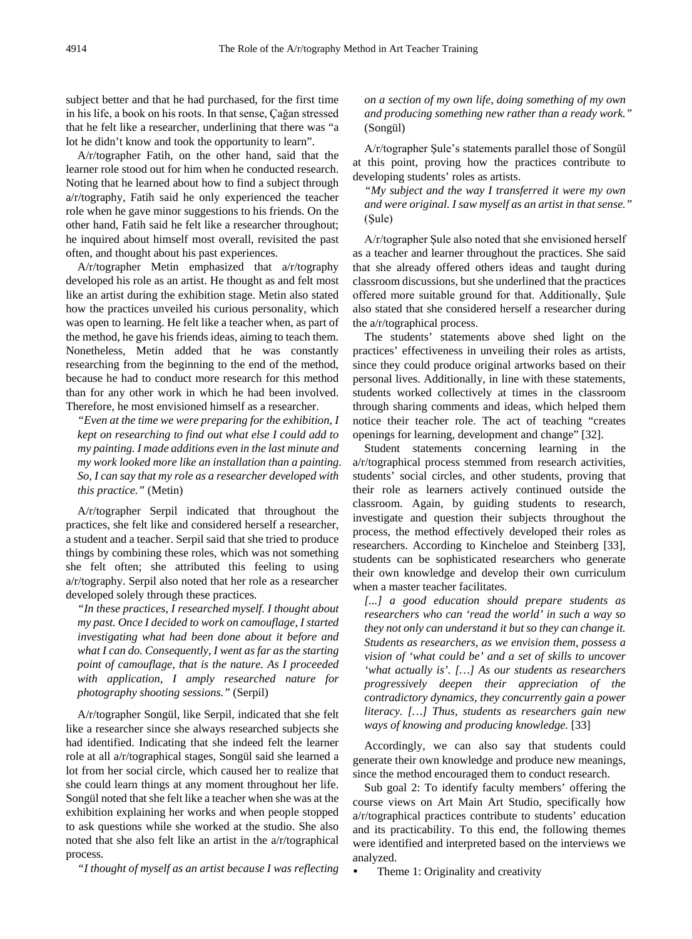subject better and that he had purchased, for the first time in his life, a book on his roots. In that sense, Çağan stressed that he felt like a researcher, underlining that there was "a lot he didn't know and took the opportunity to learn".

A/r/tographer Fatih, on the other hand, said that the learner role stood out for him when he conducted research. Noting that he learned about how to find a subject through a/r/tography, Fatih said he only experienced the teacher role when he gave minor suggestions to his friends. On the other hand, Fatih said he felt like a researcher throughout; he inquired about himself most overall, revisited the past often, and thought about his past experiences.

A/r/tographer Metin emphasized that a/r/tography developed his role as an artist. He thought as and felt most like an artist during the exhibition stage. Metin also stated how the practices unveiled his curious personality, which was open to learning. He felt like a teacher when, as part of the method, he gave his friends ideas, aiming to teach them. Nonetheless, Metin added that he was constantly researching from the beginning to the end of the method, because he had to conduct more research for this method than for any other work in which he had been involved. Therefore, he most envisioned himself as a researcher.

*"Even at the time we were preparing for the exhibition, I kept on researching to find out what else I could add to my painting. I made additions even in the last minute and my work looked more like an installation than a painting. So, I can say that my role as a researcher developed with this practice."* (Metin)

A/r/tographer Serpil indicated that throughout the practices, she felt like and considered herself a researcher, a student and a teacher. Serpil said that she tried to produce things by combining these roles, which was not something she felt often; she attributed this feeling to using a/r/tography. Serpil also noted that her role as a researcher developed solely through these practices*.* 

*"In these practices, I researched myself. I thought about my past. Once I decided to work on camouflage, I started investigating what had been done about it before and what I can do. Consequently, I went as far as the starting point of camouflage, that is the nature. As I proceeded with application, I amply researched nature for photography shooting sessions."* (Serpil)

A/r/tographer Songül, like Serpil, indicated that she felt like a researcher since she always researched subjects she had identified. Indicating that she indeed felt the learner role at all a/r/tographical stages, Songül said she learned a lot from her social circle, which caused her to realize that she could learn things at any moment throughout her life. Songül noted that she felt like a teacher when she was at the exhibition explaining her works and when people stopped to ask questions while she worked at the studio. She also noted that she also felt like an artist in the a/r/tographical process.

*"I thought of myself as an artist because I was reflecting* 

*on a section of my own life, doing something of my own and producing something new rather than a ready work."*  (Songül)

A/r/tographer Şule's statements parallel those of Songül at this point, proving how the practices contribute to developing students' roles as artists.

*"My subject and the way I transferred it were my own and were original. I saw myself as an artist in that sense."*  (Şule)

A/r/tographer Şule also noted that she envisioned herself as a teacher and learner throughout the practices. She said that she already offered others ideas and taught during classroom discussions, but she underlined that the practices offered more suitable ground for that. Additionally, Şule also stated that she considered herself a researcher during the a/r/tographical process.

The students' statements above shed light on the practices' effectiveness in unveiling their roles as artists, since they could produce original artworks based on their personal lives. Additionally, in line with these statements, students worked collectively at times in the classroom through sharing comments and ideas, which helped them notice their teacher role. The act of teaching "creates openings for learning, development and change" [32].

Student statements concerning learning in the a/r/tographical process stemmed from research activities, students' social circles, and other students, proving that their role as learners actively continued outside the classroom. Again, by guiding students to research, investigate and question their subjects throughout the process, the method effectively developed their roles as researchers. According to Kincheloe and Steinberg [33], students can be sophisticated researchers who generate their own knowledge and develop their own curriculum when a master teacher facilitates.

*[...] a good education should prepare students as researchers who can 'read the world' in such a way so they not only can understand it but so they can change it. Students as researchers, as we envision them, possess a vision of 'what could be' and a set of skills to uncover 'what actually is'. […] As our students as researchers progressively deepen their appreciation of the contradictory dynamics, they concurrently gain a power literacy. […] Thus, students as researchers gain new ways of knowing and producing knowledge.* [33]

Accordingly, we can also say that students could generate their own knowledge and produce new meanings, since the method encouraged them to conduct research.

Sub goal 2: To identify faculty members' offering the course views on Art Main Art Studio, specifically how a/r/tographical practices contribute to students' education and its practicability. To this end, the following themes were identified and interpreted based on the interviews we analyzed.

Theme 1: Originality and creativity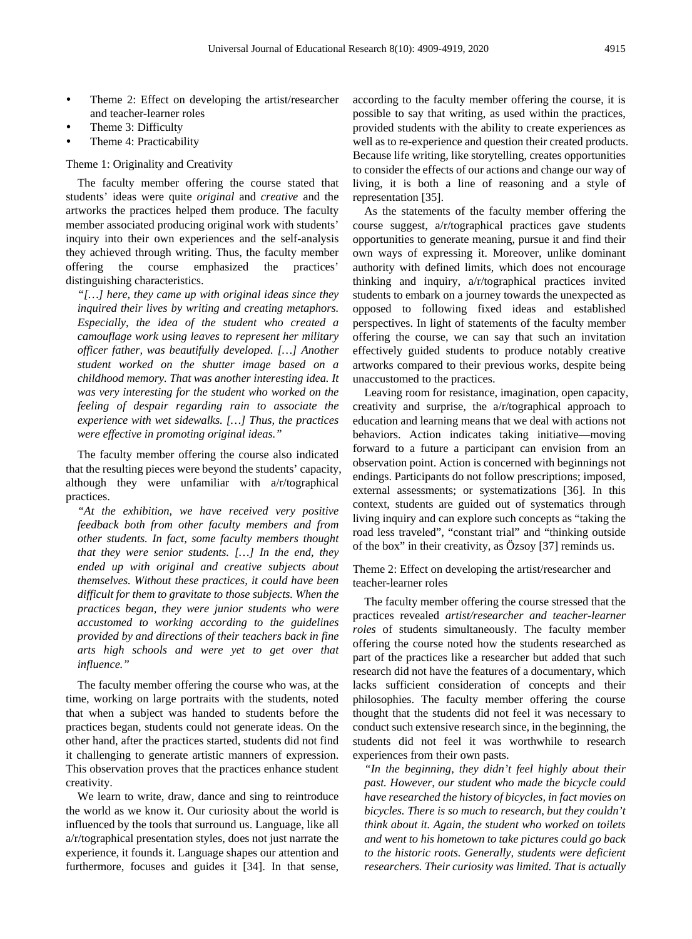- Theme 2: Effect on developing the artist/researcher and teacher-learner roles
- Theme 3: Difficulty
- Theme 4: Practicability

#### Theme 1: Originality and Creativity

The faculty member offering the course stated that students' ideas were quite *original* and *creative* and the artworks the practices helped them produce. The faculty member associated producing original work with students' inquiry into their own experiences and the self-analysis they achieved through writing. Thus, the faculty member offering the course emphasized the practices' distinguishing characteristics.

*"[…] here, they came up with original ideas since they inquired their lives by writing and creating metaphors. Especially, the idea of the student who created a camouflage work using leaves to represent her military officer father, was beautifully developed. […] Another student worked on the shutter image based on a childhood memory. That was another interesting idea. It was very interesting for the student who worked on the feeling of despair regarding rain to associate the experience with wet sidewalks. […] Thus, the practices were effective in promoting original ideas."*

The faculty member offering the course also indicated that the resulting pieces were beyond the students' capacity, although they were unfamiliar with a/r/tographical practices.

*"At the exhibition, we have received very positive feedback both from other faculty members and from other students. In fact, some faculty members thought that they were senior students. […] In the end, they ended up with original and creative subjects about themselves. Without these practices, it could have been difficult for them to gravitate to those subjects. When the practices began, they were junior students who were accustomed to working according to the guidelines provided by and directions of their teachers back in fine arts high schools and were yet to get over that influence."*

The faculty member offering the course who was, at the time, working on large portraits with the students, noted that when a subject was handed to students before the practices began, students could not generate ideas. On the other hand, after the practices started, students did not find it challenging to generate artistic manners of expression. This observation proves that the practices enhance student creativity.

We learn to write, draw, dance and sing to reintroduce the world as we know it. Our curiosity about the world is influenced by the tools that surround us. Language, like all a/r/tographical presentation styles, does not just narrate the experience, it founds it. Language shapes our attention and furthermore, focuses and guides it [34]. In that sense,

according to the faculty member offering the course, it is possible to say that writing, as used within the practices, provided students with the ability to create experiences as well as to re-experience and question their created products. Because life writing, like storytelling, creates opportunities to consider the effects of our actions and change our way of living, it is both a line of reasoning and a style of representation [35].

As the statements of the faculty member offering the course suggest, a/r/tographical practices gave students opportunities to generate meaning, pursue it and find their own ways of expressing it. Moreover, unlike dominant authority with defined limits, which does not encourage thinking and inquiry, a/r/tographical practices invited students to embark on a journey towards the unexpected as opposed to following fixed ideas and established perspectives. In light of statements of the faculty member offering the course, we can say that such an invitation effectively guided students to produce notably creative artworks compared to their previous works, despite being unaccustomed to the practices.

Leaving room for resistance, imagination, open capacity, creativity and surprise, the a/r/tographical approach to education and learning means that we deal with actions not behaviors. Action indicates taking initiative—moving forward to a future a participant can envision from an observation point. Action is concerned with beginnings not endings. Participants do not follow prescriptions; imposed, external assessments; or systematizations [36]. In this context, students are guided out of systematics through living inquiry and can explore such concepts as "taking the road less traveled", "constant trial" and "thinking outside of the box" in their creativity, as Özsoy [37] reminds us.

Theme 2: Effect on developing the artist/researcher and teacher-learner roles

The faculty member offering the course stressed that the practices revealed *artist/researcher and teacher-learner roles* of students simultaneously. The faculty member offering the course noted how the students researched as part of the practices like a researcher but added that such research did not have the features of a documentary, which lacks sufficient consideration of concepts and their philosophies. The faculty member offering the course thought that the students did not feel it was necessary to conduct such extensive research since, in the beginning, the students did not feel it was worthwhile to research experiences from their own pasts.

*"In the beginning, they didn't feel highly about their past. However, our student who made the bicycle could have researched the history of bicycles, in fact movies on bicycles. There is so much to research, but they couldn't think about it. Again, the student who worked on toilets and went to his hometown to take pictures could go back to the historic roots. Generally, students were deficient researchers. Their curiosity was limited. That is actually*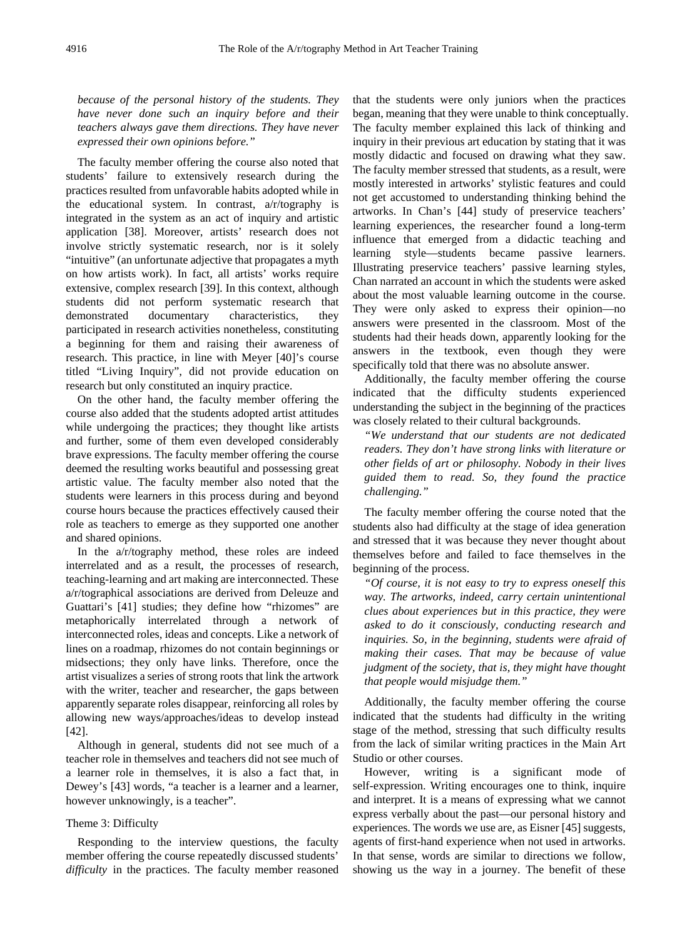*because of the personal history of the students. They have never done such an inquiry before and their teachers always gave them directions. They have never expressed their own opinions before."*

The faculty member offering the course also noted that students' failure to extensively research during the practices resulted from unfavorable habits adopted while in the educational system. In contrast, a/r/tography is integrated in the system as an act of inquiry and artistic application [38]. Moreover, artists' research does not involve strictly systematic research, nor is it solely "intuitive" (an unfortunate adjective that propagates a myth on how artists work). In fact, all artists' works require extensive, complex research [39]. In this context, although students did not perform systematic research that demonstrated documentary characteristics, they participated in research activities nonetheless, constituting a beginning for them and raising their awareness of research. This practice, in line with Meyer [40]'s course titled "Living Inquiry", did not provide education on research but only constituted an inquiry practice.

On the other hand, the faculty member offering the course also added that the students adopted artist attitudes while undergoing the practices; they thought like artists and further, some of them even developed considerably brave expressions. The faculty member offering the course deemed the resulting works beautiful and possessing great artistic value. The faculty member also noted that the students were learners in this process during and beyond course hours because the practices effectively caused their role as teachers to emerge as they supported one another and shared opinions.

In the a/r/tography method, these roles are indeed interrelated and as a result, the processes of research, teaching-learning and art making are interconnected. These a/r/tographical associations are derived from Deleuze and Guattari's [41] studies; they define how "rhizomes" are metaphorically interrelated through a network of interconnected roles, ideas and concepts. Like a network of lines on a roadmap, rhizomes do not contain beginnings or midsections; they only have links. Therefore, once the artist visualizes a series of strong roots that link the artwork with the writer, teacher and researcher, the gaps between apparently separate roles disappear, reinforcing all roles by allowing new ways/approaches/ideas to develop instead [42].

Although in general, students did not see much of a teacher role in themselves and teachers did not see much of a learner role in themselves, it is also a fact that, in Dewey's [43] words, "a teacher is a learner and a learner, however unknowingly, is a teacher".

#### Theme 3: Difficulty

Responding to the interview questions, the faculty member offering the course repeatedly discussed students' *difficulty* in the practices. The faculty member reasoned that the students were only juniors when the practices began, meaning that they were unable to think conceptually. The faculty member explained this lack of thinking and inquiry in their previous art education by stating that it was mostly didactic and focused on drawing what they saw. The faculty member stressed that students, as a result, were mostly interested in artworks' stylistic features and could not get accustomed to understanding thinking behind the artworks. In Chan's [44] study of preservice teachers' learning experiences, the researcher found a long-term influence that emerged from a didactic teaching and learning style—students became passive learners. Illustrating preservice teachers' passive learning styles, Chan narrated an account in which the students were asked about the most valuable learning outcome in the course. They were only asked to express their opinion—no answers were presented in the classroom. Most of the students had their heads down, apparently looking for the answers in the textbook, even though they were specifically told that there was no absolute answer.

Additionally, the faculty member offering the course indicated that the difficulty students experienced understanding the subject in the beginning of the practices was closely related to their cultural backgrounds.

*"We understand that our students are not dedicated readers. They don't have strong links with literature or other fields of art or philosophy. Nobody in their lives guided them to read. So, they found the practice challenging."*

The faculty member offering the course noted that the students also had difficulty at the stage of idea generation and stressed that it was because they never thought about themselves before and failed to face themselves in the beginning of the process.

*"Of course, it is not easy to try to express oneself this way. The artworks, indeed, carry certain unintentional clues about experiences but in this practice, they were asked to do it consciously, conducting research and inquiries. So, in the beginning, students were afraid of making their cases. That may be because of value judgment of the society, that is, they might have thought that people would misjudge them."*

Additionally, the faculty member offering the course indicated that the students had difficulty in the writing stage of the method, stressing that such difficulty results from the lack of similar writing practices in the Main Art Studio or other courses.

However, writing is a significant mode of self-expression. Writing encourages one to think, inquire and interpret. It is a means of expressing what we cannot express verbally about the past—our personal history and experiences. The words we use are, as Eisner [45] suggests, agents of first-hand experience when not used in artworks. In that sense, words are similar to directions we follow, showing us the way in a journey. The benefit of these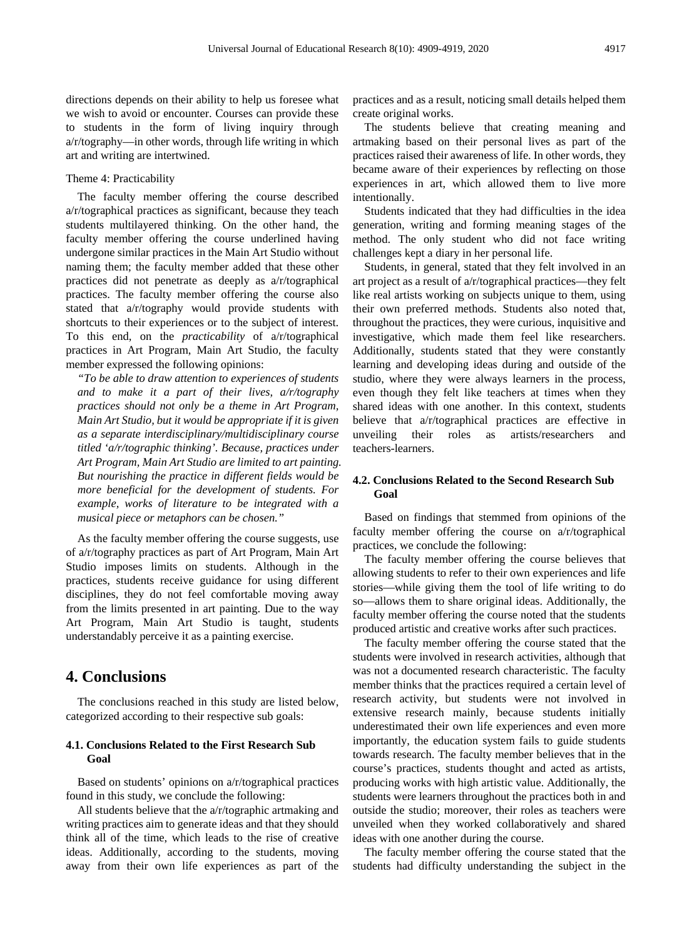directions depends on their ability to help us foresee what we wish to avoid or encounter. Courses can provide these to students in the form of living inquiry through a/r/tography—in other words, through life writing in which art and writing are intertwined.

#### Theme 4: Practicability

The faculty member offering the course described a/r/tographical practices as significant, because they teach students multilayered thinking. On the other hand, the faculty member offering the course underlined having undergone similar practices in the Main Art Studio without naming them; the faculty member added that these other practices did not penetrate as deeply as a/r/tographical practices. The faculty member offering the course also stated that a/r/tography would provide students with shortcuts to their experiences or to the subject of interest. To this end, on the *practicability* of a/r/tographical practices in Art Program, Main Art Studio, the faculty member expressed the following opinions:

*"To be able to draw attention to experiences of students and to make it a part of their lives, a/r/tography practices should not only be a theme in Art Program, Main Art Studio, but it would be appropriate if it is given as a separate interdisciplinary/multidisciplinary course titled 'a/r/tographic thinking'. Because, practices under Art Program, Main Art Studio are limited to art painting. But nourishing the practice in different fields would be more beneficial for the development of students. For example, works of literature to be integrated with a musical piece or metaphors can be chosen."*

As the faculty member offering the course suggests, use of a/r/tography practices as part of Art Program, Main Art Studio imposes limits on students. Although in the practices, students receive guidance for using different disciplines, they do not feel comfortable moving away from the limits presented in art painting. Due to the way Art Program, Main Art Studio is taught, students understandably perceive it as a painting exercise.

## **4. Conclusions**

The conclusions reached in this study are listed below, categorized according to their respective sub goals:

#### **4.1. Conclusions Related to the First Research Sub Goal**

Based on students' opinions on a/r/tographical practices found in this study, we conclude the following:

All students believe that the a/r/tographic artmaking and writing practices aim to generate ideas and that they should think all of the time, which leads to the rise of creative ideas. Additionally, according to the students, moving away from their own life experiences as part of the practices and as a result, noticing small details helped them create original works.

The students believe that creating meaning and artmaking based on their personal lives as part of the practices raised their awareness of life. In other words, they became aware of their experiences by reflecting on those experiences in art, which allowed them to live more intentionally.

Students indicated that they had difficulties in the idea generation, writing and forming meaning stages of the method. The only student who did not face writing challenges kept a diary in her personal life.

Students, in general, stated that they felt involved in an art project as a result of a/r/tographical practices—they felt like real artists working on subjects unique to them, using their own preferred methods. Students also noted that, throughout the practices, they were curious, inquisitive and investigative, which made them feel like researchers. Additionally, students stated that they were constantly learning and developing ideas during and outside of the studio, where they were always learners in the process, even though they felt like teachers at times when they shared ideas with one another. In this context, students believe that a/r/tographical practices are effective in unveiling their roles as artists/researchers and teachers-learners.

#### **4.2. Conclusions Related to the Second Research Sub Goal**

Based on findings that stemmed from opinions of the faculty member offering the course on a/r/tographical practices, we conclude the following:

The faculty member offering the course believes that allowing students to refer to their own experiences and life stories—while giving them the tool of life writing to do so—allows them to share original ideas. Additionally, the faculty member offering the course noted that the students produced artistic and creative works after such practices.

The faculty member offering the course stated that the students were involved in research activities, although that was not a documented research characteristic. The faculty member thinks that the practices required a certain level of research activity, but students were not involved in extensive research mainly, because students initially underestimated their own life experiences and even more importantly, the education system fails to guide students towards research. The faculty member believes that in the course's practices, students thought and acted as artists, producing works with high artistic value. Additionally, the students were learners throughout the practices both in and outside the studio; moreover, their roles as teachers were unveiled when they worked collaboratively and shared ideas with one another during the course.

The faculty member offering the course stated that the students had difficulty understanding the subject in the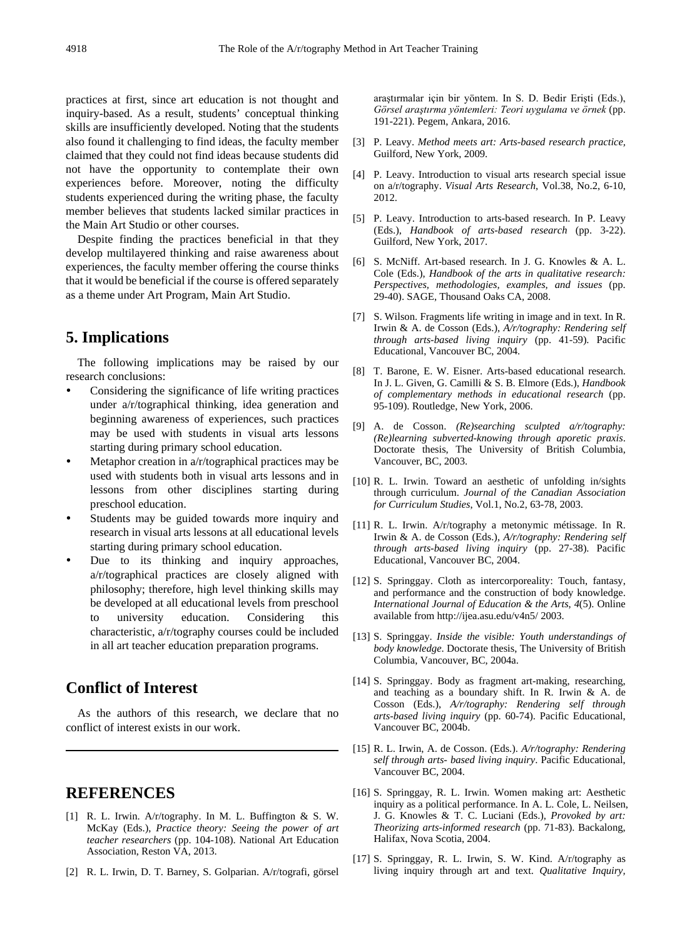practices at first, since art education is not thought and inquiry-based. As a result, students' conceptual thinking skills are insufficiently developed. Noting that the students also found it challenging to find ideas, the faculty member claimed that they could not find ideas because students did not have the opportunity to contemplate their own experiences before. Moreover, noting the difficulty students experienced during the writing phase, the faculty member believes that students lacked similar practices in the Main Art Studio or other courses.

Despite finding the practices beneficial in that they develop multilayered thinking and raise awareness about experiences, the faculty member offering the course thinks that it would be beneficial if the course is offered separately as a theme under Art Program, Main Art Studio.

## **5. Implications**

The following implications may be raised by our research conclusions:

- Considering the significance of life writing practices under a/r/tographical thinking, idea generation and beginning awareness of experiences, such practices may be used with students in visual arts lessons starting during primary school education.
- Metaphor creation in a/r/tographical practices may be used with students both in visual arts lessons and in lessons from other disciplines starting during preschool education.
- Students may be guided towards more inquiry and research in visual arts lessons at all educational levels starting during primary school education.
- Due to its thinking and inquiry approaches, a/r/tographical practices are closely aligned with philosophy; therefore, high level thinking skills may be developed at all educational levels from preschool to university education. Considering this characteristic, a/r/tography courses could be included in all art teacher education preparation programs.

# **Conflict of Interest**

As the authors of this research, we declare that no conflict of interest exists in our work.

## **REFERENCES**

- [1] R. L. Irwin. A/r/tography. In M. L. Buffington & S. W. McKay (Eds.), *Practice theory: Seeing the power of art teacher researchers* (pp. 104-108). National Art Education Association, Reston VA, 2013.
- [2] R. L. Irwin, D. T. Barney, S. Golparian. A/r/tografi, görsel

araştırmalar için bir yöntem. In S. D. Bedir Erişti (Eds.), *Görsel araştırma yöntemleri: Teori uygulama ve örnek* (pp. 191-221). Pegem, Ankara, 2016.

- [3] P. Leavy. *Method meets art: Arts-based research practice,* Guilford, New York, 2009.
- [4] P. Leavy. Introduction to visual arts research special issue on a/r/tography. *Visual Arts Research*, Vol.38, No.2, 6-10, 2012.
- [5] P. Leavy. Introduction to arts-based research. In P. Leavy (Eds.), *Handbook of arts-based research* (pp. 3-22). Guilford, New York, 2017.
- [6] S. McNiff. Art-based research. In J. G. Knowles & A. L. Cole (Eds.), *Handbook of the arts in qualitative research: Perspectives, methodologies, examples, and issues* (pp. 29-40). SAGE, Thousand Oaks CA, 2008.
- [7] S. Wilson. Fragments life writing in image and in text. In R. Irwin & A. de Cosson (Eds.), *A/r/tography: Rendering self through arts-based living inquiry* (pp. 41-59). Pacific Educational, Vancouver BC, 2004.
- [8] T. Barone, E. W. Eisner. Arts-based educational research. In J. L. Given, G. Camilli & S. B. Elmore (Eds.), *Handbook of complementary methods in educational research* (pp. 95-109). Routledge, New York, 2006.
- [9] A. de Cosson. *(Re)searching sculpted a/r/tography: (Re)learning subverted-knowing through aporetic praxis*. Doctorate thesis, The University of British Columbia, Vancouver, BC, 2003.
- [10] R. L. Irwin. Toward an aesthetic of unfolding in/sights through curriculum. *Journal of the Canadian Association for Curriculum Studies*, Vol.1, No.2, 63-78, 2003.
- [11] R. L. Irwin. A/r/tography a metonymic métissage. In R. Irwin & A. de Cosson (Eds.), *A/r/tography: Rendering self through arts-based living inquiry* (pp. 27-38). Pacific Educational, Vancouver BC, 2004.
- [12] S. Springgay. Cloth as intercorporeality: Touch, fantasy, and performance and the construction of body knowledge. *International Journal of Education & the Arts*, *4*(5). Online available fro[m http://ijea.asu.edu/v4n5/](http://ijea.asu.edu/v4n5/) 2003.
- [13] S. Springgay. *Inside the visible: Youth understandings of body knowledge*. Doctorate thesis, The University of British Columbia, Vancouver, BC, 2004a.
- [14] S. Springgay. Body as fragment art-making, researching, and teaching as a boundary shift. In R. Irwin & A. de Cosson (Eds.), *A/r/tography: Rendering self through arts-based living inquiry* (pp. 60-74). Pacific Educational, Vancouver BC, 2004b.
- [15] R. L. Irwin, A. de Cosson. (Eds.). *A/r/tography: Rendering self through arts- based living inquiry*. Pacific Educational, Vancouver BC, 2004.
- [16] S. Springgay, R. L. Irwin. Women making art: Aesthetic inquiry as a political performance. In A. L. Cole, L. Neilsen, J. G. Knowles & T. C. Luciani (Eds.), *Provoked by art: Theorizing arts-informed research* (pp. 71-83). Backalong, Halifax, Nova Scotia, 2004.
- [17] S. Springgay, R. L. Irwin, S. W. Kind. A/r/tography as living inquiry through art and text. *Qualitative Inquiry,*